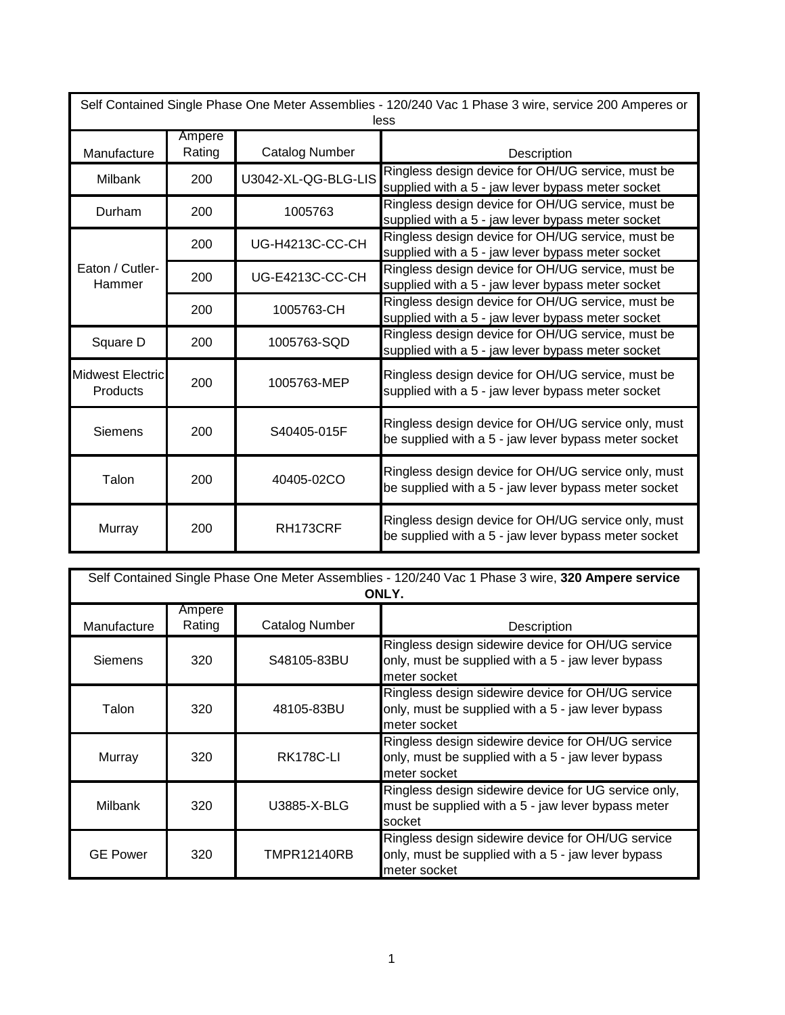| Self Contained Single Phase One Meter Assemblies - 120/240 Vac 1 Phase 3 wire, service 200 Amperes or<br>less |                  |                        |                                                                                                             |  |  |
|---------------------------------------------------------------------------------------------------------------|------------------|------------------------|-------------------------------------------------------------------------------------------------------------|--|--|
| Manufacture                                                                                                   | Ampere<br>Rating | <b>Catalog Number</b>  | Description                                                                                                 |  |  |
| <b>Milbank</b>                                                                                                | 200              | U3042-XL-QG-BLG-LIS    | Ringless design device for OH/UG service, must be<br>supplied with a 5 - jaw lever bypass meter socket      |  |  |
| Durham                                                                                                        | 200              | 1005763                | Ringless design device for OH/UG service, must be<br>supplied with a 5 - jaw lever bypass meter socket      |  |  |
| Eaton / Cutler-<br>Hammer                                                                                     | 200              | UG-H4213C-CC-CH        | Ringless design device for OH/UG service, must be<br>supplied with a 5 - jaw lever bypass meter socket      |  |  |
|                                                                                                               | 200              | <b>UG-E4213C-CC-CH</b> | Ringless design device for OH/UG service, must be<br>supplied with a 5 - jaw lever bypass meter socket      |  |  |
|                                                                                                               | 200              | 1005763-CH             | Ringless design device for OH/UG service, must be<br>supplied with a 5 - jaw lever bypass meter socket      |  |  |
| Square D                                                                                                      | 200              | 1005763-SQD            | Ringless design device for OH/UG service, must be<br>supplied with a 5 - jaw lever bypass meter socket      |  |  |
| <b>Midwest Electric</b><br><b>Products</b>                                                                    | 200              | 1005763-MEP            | Ringless design device for OH/UG service, must be<br>supplied with a 5 - jaw lever bypass meter socket      |  |  |
| <b>Siemens</b>                                                                                                | 200              | S40405-015F            | Ringless design device for OH/UG service only, must<br>be supplied with a 5 - jaw lever bypass meter socket |  |  |
| Talon                                                                                                         | 200              | 40405-02CO             | Ringless design device for OH/UG service only, must<br>be supplied with a 5 - jaw lever bypass meter socket |  |  |
| Murray                                                                                                        | 200              | RH173CRF               | Ringless design device for OH/UG service only, must<br>be supplied with a 5 - jaw lever bypass meter socket |  |  |

| Self Contained Single Phase One Meter Assemblies - 120/240 Vac 1 Phase 3 wire, 320 Ampere service<br>ONLY. |                  |                  |                                                                                                                         |  |  |  |
|------------------------------------------------------------------------------------------------------------|------------------|------------------|-------------------------------------------------------------------------------------------------------------------------|--|--|--|
| Manufacture                                                                                                | Ampere<br>Rating | Catalog Number   | Description                                                                                                             |  |  |  |
| Siemens                                                                                                    | 320              | S48105-83BU      | Ringless design sidewire device for OH/UG service<br>only, must be supplied with a 5 - jaw lever bypass<br>meter socket |  |  |  |
| Talon                                                                                                      | 320              | 48105-83BU       | Ringless design sidewire device for OH/UG service<br>only, must be supplied with a 5 - jaw lever bypass<br>meter socket |  |  |  |
| Murray                                                                                                     | 320              | <b>RK178C-LI</b> | Ringless design sidewire device for OH/UG service<br>only, must be supplied with a 5 - jaw lever bypass<br>meter socket |  |  |  |
| <b>Milbank</b>                                                                                             | 320              | U3885-X-BLG      | Ringless design sidewire device for UG service only,<br>must be supplied with a 5 - jaw lever bypass meter<br>socket    |  |  |  |
| <b>GE Power</b>                                                                                            | 320              | TMPR12140RB      | Ringless design sidewire device for OH/UG service<br>only, must be supplied with a 5 - jaw lever bypass<br>meter socket |  |  |  |